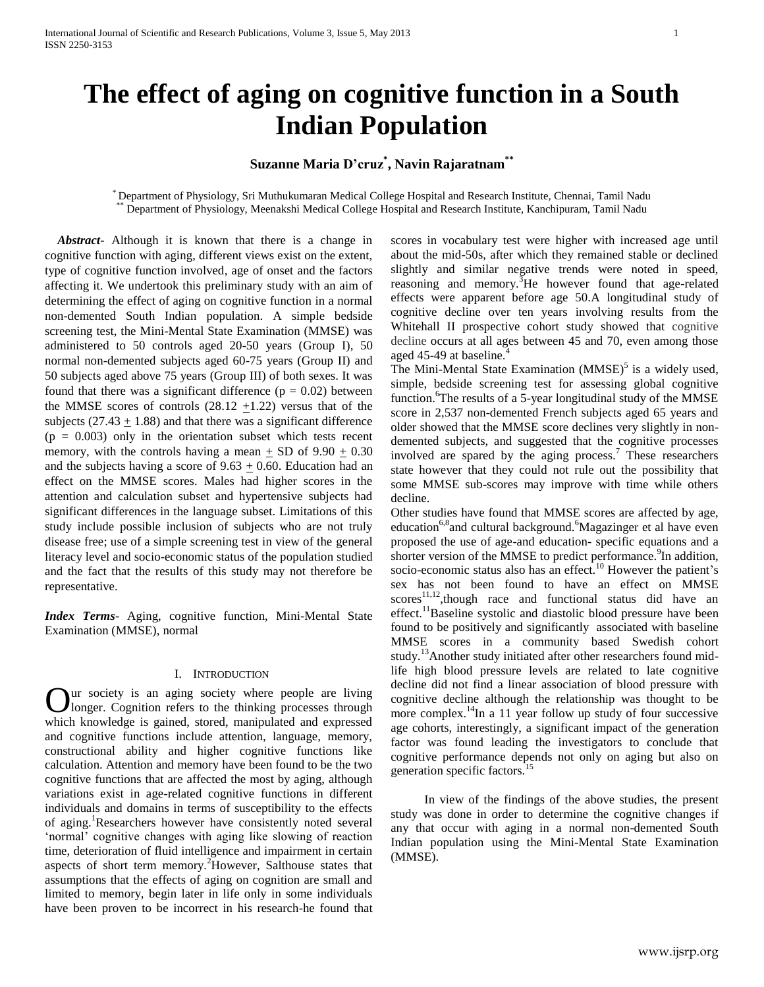# **The effect of aging on cognitive function in a South Indian Population**

# **Suzanne Maria D'cruz\* , Navin Rajaratnam\*\***

\* Department of Physiology, Sri Muthukumaran Medical College Hospital and Research Institute, Chennai, Tamil Nadu Department of Physiology, Meenakshi Medical College Hospital and Research Institute, Kanchipuram, Tamil Nadu

*Abstract***-** Although it is known that there is a change in cognitive function with aging, different views exist on the extent, type of cognitive function involved, age of onset and the factors affecting it. We undertook this preliminary study with an aim of determining the effect of aging on cognitive function in a normal non-demented South Indian population. A simple bedside screening test, the Mini-Mental State Examination (MMSE) was administered to 50 controls aged 20-50 years (Group I), 50 normal non-demented subjects aged 60-75 years (Group II) and 50 subjects aged above 75 years (Group III) of both sexes. It was found that there was a significant difference  $(p = 0.02)$  between the MMSE scores of controls  $(28.12 +1.22)$  versus that of the subjects  $(27.43 + 1.88)$  and that there was a significant difference  $(p = 0.003)$  only in the orientation subset which tests recent memory, with the controls having a mean  $\pm$  SD of 9.90  $\pm$  0.30 and the subjects having a score of  $9.63 \pm 0.60$ . Education had an effect on the MMSE scores. Males had higher scores in the attention and calculation subset and hypertensive subjects had significant differences in the language subset. Limitations of this study include possible inclusion of subjects who are not truly disease free; use of a simple screening test in view of the general literacy level and socio-economic status of the population studied and the fact that the results of this study may not therefore be representative.

*Index Terms*- Aging, cognitive function, Mini-Mental State Examination (MMSE), normal

# I. INTRODUCTION

ur society is an aging society where people are living longer. Cognition refers to the thinking processes through Our society is an aging society where people are living longer. Cognition refers to the thinking processes through which knowledge is gained, stored, manipulated and expressed and cognitive functions include attention, language, memory, constructional ability and higher cognitive functions like calculation. Attention and memory have been found to be the two cognitive functions that are affected the most by aging, although variations exist in age-related cognitive functions in different individuals and domains in terms of susceptibility to the effects of aging.<sup>1</sup>Researchers however have consistently noted several 'normal' cognitive changes with aging like slowing of reaction time, deterioration of fluid intelligence and impairment in certain aspects of short term memory.<sup>2</sup>However, Salthouse states that assumptions that the effects of aging on cognition are small and limited to memory, begin later in life only in some individuals have been proven to be incorrect in his research-he found that

scores in vocabulary test were higher with increased age until about the mid-50s, after which they remained stable or declined slightly and similar negative trends were noted in speed, reasoning and memory.<sup>3</sup>He however found that age-related effects were apparent before age 50.A longitudinal study of cognitive decline over ten years involving results from the Whitehall II prospective cohort study showed that cognitive decline occurs at all ages between 45 and 70, even among those aged 45-49 at baseline.<sup>4</sup>

The Mini-Mental State Examination  $(MMSE)^5$  is a widely used, simple, bedside screening test for assessing global cognitive function. <sup>6</sup>The results of a 5-year longitudinal study of the MMSE score in 2,537 non-demented French subjects aged 65 years and older showed that the MMSE score declines very slightly in nondemented subjects, and suggested that the cognitive processes involved are spared by the aging process.<sup>7</sup> These researchers state however that they could not rule out the possibility that some MMSE sub-scores may improve with time while others decline.

Other studies have found that MMSE scores are affected by age, education<sup>6,8</sup> and cultural background.<sup>6</sup>Magazinger et al have even proposed the use of age-and education- specific equations and a shorter version of the MMSE to predict performance.<sup>9</sup>In addition, socio-economic status also has an effect.<sup>10</sup> However the patient's sex has not been found to have an effect on MMSE  $scores^{11,12}, though$  race and functional status did have an effect.<sup>11</sup>Baseline systolic and diastolic blood pressure have been found to be positively and significantly associated with baseline MMSE scores in a community based Swedish cohort study.<sup>13</sup>Another study initiated after other researchers found midlife high blood pressure levels are related to late cognitive decline did not find a linear association of blood pressure with cognitive decline although the relationship was thought to be more complex.<sup>14</sup>In a 11 year follow up study of four successive age cohorts, interestingly, a significant impact of the generation factor was found leading the investigators to conclude that cognitive performance depends not only on aging but also on generation specific factors.<sup>1</sup>

In view of the findings of the above studies, the present study was done in order to determine the cognitive changes if any that occur with aging in a normal non-demented South Indian population using the Mini-Mental State Examination (MMSE).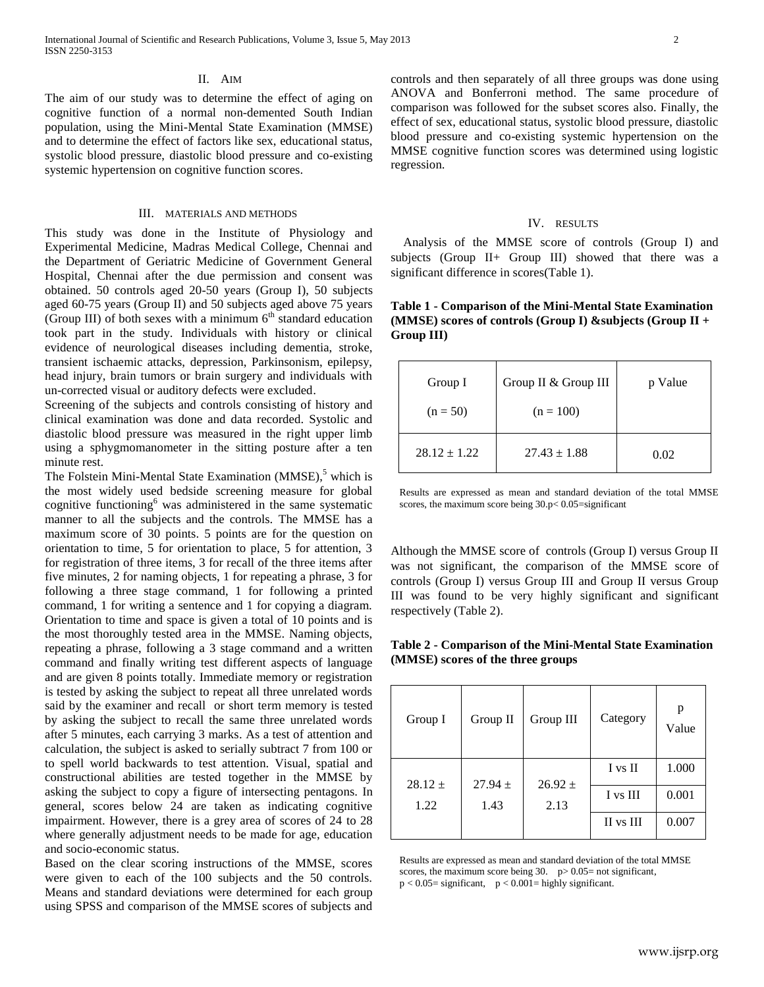#### II. AIM

The aim of our study was to determine the effect of aging on cognitive function of a normal non-demented South Indian population, using the Mini-Mental State Examination (MMSE) and to determine the effect of factors like sex, educational status, systolic blood pressure, diastolic blood pressure and co-existing systemic hypertension on cognitive function scores.

# III. MATERIALS AND METHODS

This study was done in the Institute of Physiology and Experimental Medicine, Madras Medical College, Chennai and the Department of Geriatric Medicine of Government General Hospital, Chennai after the due permission and consent was obtained. 50 controls aged 20-50 years (Group I), 50 subjects aged 60-75 years (Group II) and 50 subjects aged above 75 years (Group III) of both sexes with a minimum  $6<sup>th</sup>$  standard education took part in the study. Individuals with history or clinical evidence of neurological diseases including dementia, stroke, transient ischaemic attacks, depression, Parkinsonism, epilepsy, head injury, brain tumors or brain surgery and individuals with un-corrected visual or auditory defects were excluded.

Screening of the subjects and controls consisting of history and clinical examination was done and data recorded. Systolic and diastolic blood pressure was measured in the right upper limb using a sphygmomanometer in the sitting posture after a ten minute rest.

The Folstein Mini-Mental State Examination (MMSE), <sup>5</sup> which is the most widely used bedside screening measure for global cognitive functioning<sup>6</sup> was administered in the same systematic manner to all the subjects and the controls. The MMSE has a maximum score of 30 points. 5 points are for the question on orientation to time, 5 for orientation to place, 5 for attention, 3 for registration of three items, 3 for recall of the three items after five minutes, 2 for naming objects, 1 for repeating a phrase, 3 for following a three stage command, 1 for following a printed command, 1 for writing a sentence and 1 for copying a diagram. Orientation to time and space is given a total of 10 points and is the most thoroughly tested area in the MMSE. Naming objects, repeating a phrase, following a 3 stage command and a written command and finally writing test different aspects of language and are given 8 points totally. Immediate memory or registration is tested by asking the subject to repeat all three unrelated words said by the examiner and recall or short term memory is tested by asking the subject to recall the same three unrelated words after 5 minutes, each carrying 3 marks. As a test of attention and calculation, the subject is asked to serially subtract 7 from 100 or to spell world backwards to test attention. Visual, spatial and constructional abilities are tested together in the MMSE by asking the subject to copy a figure of intersecting pentagons. In general, scores below 24 are taken as indicating cognitive impairment. However, there is a grey area of scores of 24 to 28 where generally adjustment needs to be made for age, education and socio-economic status.

Based on the clear scoring instructions of the MMSE, scores were given to each of the 100 subjects and the 50 controls. Means and standard deviations were determined for each group using SPSS and comparison of the MMSE scores of subjects and controls and then separately of all three groups was done using ANOVA and Bonferroni method. The same procedure of comparison was followed for the subset scores also. Finally, the effect of sex, educational status, systolic blood pressure, diastolic blood pressure and co-existing systemic hypertension on the MMSE cognitive function scores was determined using logistic regression.

#### IV. RESULTS

Analysis of the MMSE score of controls (Group I) and subjects (Group II+ Group III) showed that there was a significant difference in scores(Table 1).

| Table 1 - Comparison of the Mini-Mental State Examination    |  |
|--------------------------------------------------------------|--|
| (MMSE) scores of controls (Group I) & subjects (Group $II +$ |  |
| Group III)                                                   |  |

| Group I          | Group II & Group III | p Value |
|------------------|----------------------|---------|
| $(n = 50)$       | $(n = 100)$          |         |
| $28.12 \pm 1.22$ | $27.43 \pm 1.88$     | 0.02    |

Results are expressed as mean and standard deviation of the total MMSE scores, the maximum score being  $30.p< 0.05$ =significant

Although the MMSE score of controls (Group I) versus Group II was not significant, the comparison of the MMSE score of controls (Group I) versus Group III and Group II versus Group III was found to be very highly significant and significant respectively (Table 2).

**Table 2 - Comparison of the Mini-Mental State Examination (MMSE) scores of the three groups** 

| Group I     | Group II            | Group III | Category  | p<br>Value |
|-------------|---------------------|-----------|-----------|------------|
| $28.12 \pm$ | $26.92 \pm$         |           | I vs II   | 1.000      |
| 1.22        | $27.94 \pm$<br>1.43 | 2.13      | I vs III  | 0.001      |
|             |                     |           | II vs III | 0.007      |

Results are expressed as mean and standard deviation of the total MMSE scores, the maximum score being  $30.$  p  $> 0.05$  = not significant,  $p < 0.05$ = significant,  $p < 0.001$ = highly significant.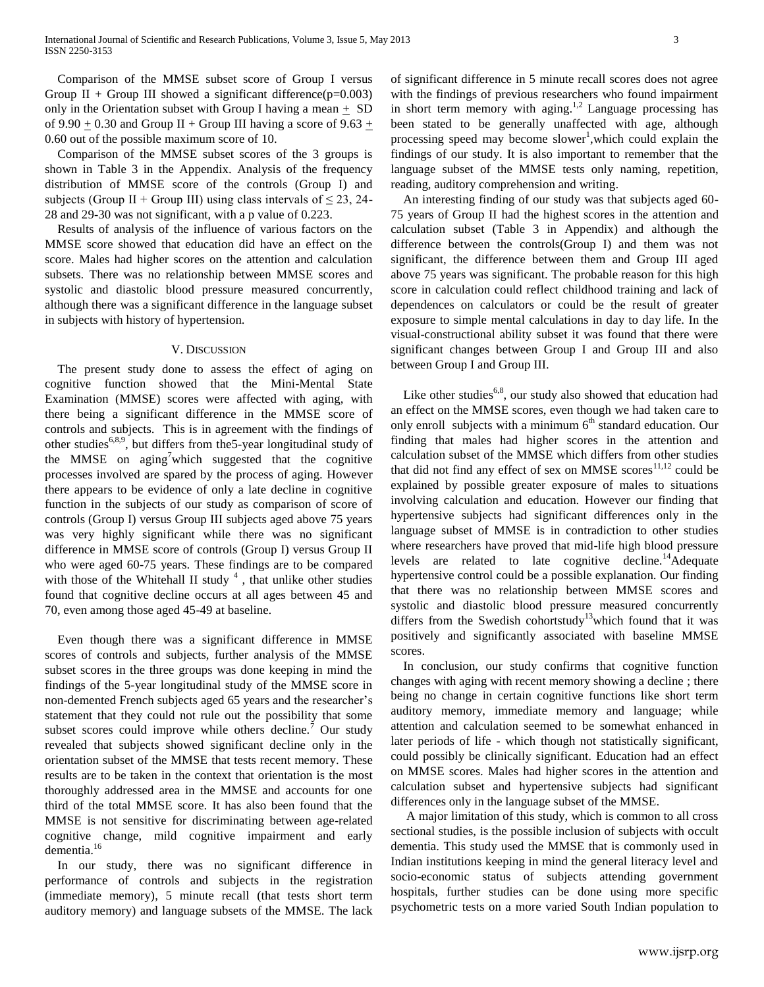Comparison of the MMSE subset score of Group I versus Group II + Group III showed a significant difference( $p=0.003$ ) only in the Orientation subset with Group I having a mean  $+$  SD of 9.90  $\pm$  0.30 and Group II + Group III having a score of 9.63  $\pm$ 0.60 out of the possible maximum score of 10.

Comparison of the MMSE subset scores of the 3 groups is shown in Table 3 in the Appendix. Analysis of the frequency distribution of MMSE score of the controls (Group I) and subjects (Group II + Group III) using class intervals of  $\leq 23$ , 24-28 and 29-30 was not significant, with a p value of 0.223.

Results of analysis of the influence of various factors on the MMSE score showed that education did have an effect on the score. Males had higher scores on the attention and calculation subsets. There was no relationship between MMSE scores and systolic and diastolic blood pressure measured concurrently, although there was a significant difference in the language subset in subjects with history of hypertension.

### V. DISCUSSION

The present study done to assess the effect of aging on cognitive function showed that the Mini-Mental State Examination (MMSE) scores were affected with aging, with there being a significant difference in the MMSE score of controls and subjects. This is in agreement with the findings of other studies<sup>6,8,9</sup>, but differs from the 5-year longitudinal study of the MMSE on aging<sup>7</sup>which suggested that the cognitive processes involved are spared by the process of aging. However there appears to be evidence of only a late decline in cognitive function in the subjects of our study as comparison of score of controls (Group I) versus Group III subjects aged above 75 years was very highly significant while there was no significant difference in MMSE score of controls (Group I) versus Group II who were aged 60-75 years. These findings are to be compared with those of the Whitehall II study  $4$ , that unlike other studies found that cognitive decline occurs at all ages between 45 and 70, even among those aged 45-49 at baseline.

Even though there was a significant difference in MMSE scores of controls and subjects, further analysis of the MMSE subset scores in the three groups was done keeping in mind the findings of the 5-year longitudinal study of the MMSE score in non-demented French subjects aged 65 years and the researcher's statement that they could not rule out the possibility that some subset scores could improve while others decline.<sup>7</sup> Our study revealed that subjects showed significant decline only in the orientation subset of the MMSE that tests recent memory. These results are to be taken in the context that orientation is the most thoroughly addressed area in the MMSE and accounts for one third of the total MMSE score. It has also been found that the MMSE is not sensitive for discriminating between age-related cognitive change, mild cognitive impairment and early dementia. 16

In our study, there was no significant difference in performance of controls and subjects in the registration (immediate memory), 5 minute recall (that tests short term auditory memory) and language subsets of the MMSE. The lack

of significant difference in 5 minute recall scores does not agree with the findings of previous researchers who found impairment in short term memory with aging.<sup>1,2</sup> Language processing has been stated to be generally unaffected with age, although processing speed may become slower<sup>1</sup>, which could explain the findings of our study. It is also important to remember that the language subset of the MMSE tests only naming, repetition, reading, auditory comprehension and writing.

An interesting finding of our study was that subjects aged 60- 75 years of Group II had the highest scores in the attention and calculation subset (Table 3 in Appendix) and although the difference between the controls(Group I) and them was not significant, the difference between them and Group III aged above 75 years was significant. The probable reason for this high score in calculation could reflect childhood training and lack of dependences on calculators or could be the result of greater exposure to simple mental calculations in day to day life. In the visual-constructional ability subset it was found that there were significant changes between Group I and Group III and also between Group I and Group III.

Like other studies<sup>6,8</sup>, our study also showed that education had an effect on the MMSE scores, even though we had taken care to only enroll subjects with a minimum  $6<sup>th</sup>$  standard education. Our finding that males had higher scores in the attention and calculation subset of the MMSE which differs from other studies that did not find any effect of sex on MMSE scores $^{11,12}$  could be explained by possible greater exposure of males to situations involving calculation and education. However our finding that hypertensive subjects had significant differences only in the language subset of MMSE is in contradiction to other studies where researchers have proved that mid-life high blood pressure levels are related to late cognitive decline.<sup>14</sup>Adequate hypertensive control could be a possible explanation. Our finding that there was no relationship between MMSE scores and systolic and diastolic blood pressure measured concurrently differs from the Swedish cohortstudy<sup>13</sup>which found that it was positively and significantly associated with baseline MMSE scores.

In conclusion, our study confirms that cognitive function changes with aging with recent memory showing a decline ; there being no change in certain cognitive functions like short term auditory memory, immediate memory and language; while attention and calculation seemed to be somewhat enhanced in later periods of life - which though not statistically significant, could possibly be clinically significant. Education had an effect on MMSE scores. Males had higher scores in the attention and calculation subset and hypertensive subjects had significant differences only in the language subset of the MMSE.

A major limitation of this study, which is common to all cross sectional studies, is the possible inclusion of subjects with occult dementia. This study used the MMSE that is commonly used in Indian institutions keeping in mind the general literacy level and socio-economic status of subjects attending government hospitals, further studies can be done using more specific psychometric tests on a more varied South Indian population to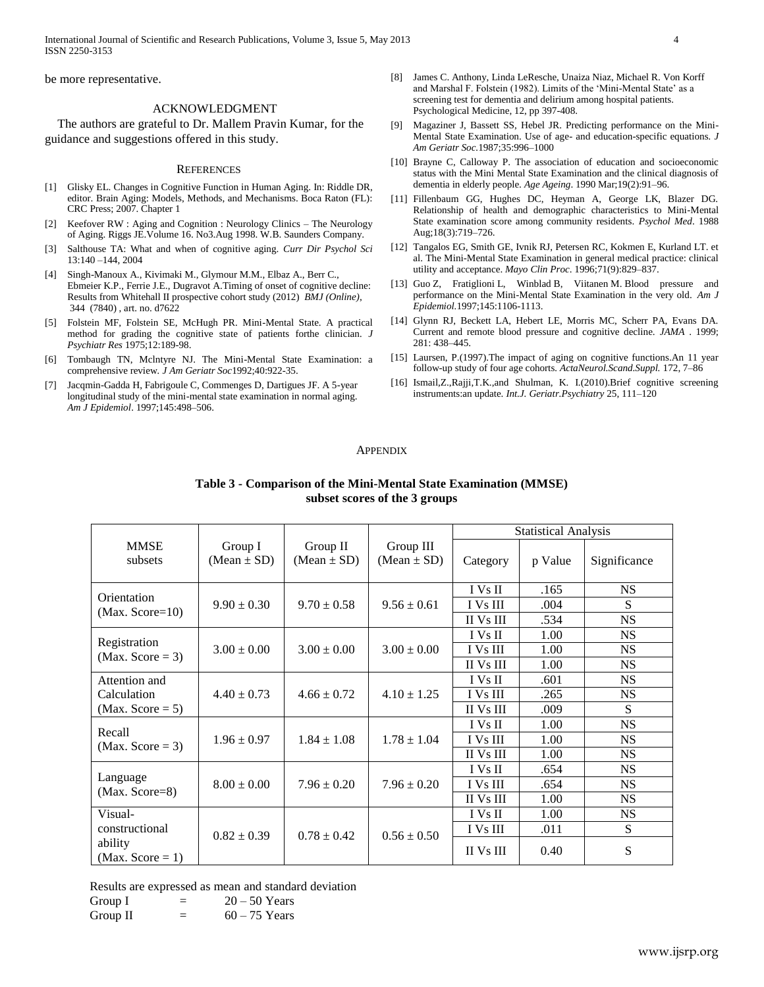International Journal of Scientific and Research Publications, Volume 3, Issue 5, May 2013 4 ISSN 2250-3153

be more representative.

# ACKNOWLEDGMENT

The authors are grateful to Dr. Mallem Pravin Kumar, for the guidance and suggestions offered in this study.

#### **REFERENCES**

- [1] Glisky EL. Changes in Cognitive Function in Human Aging. In: Riddle DR, editor. Brain Aging: Models, Methods, and Mechanisms. Boca Raton (FL): CRC Press; 2007. Chapter 1
- [2] Keefover RW : Aging and Cognition : Neurology Clinics The Neurology of Aging. Riggs JE.Volume 16. No3.Aug 1998. W.B. Saunders Company.
- [3] Salthouse TA: What and when of cognitive aging. *Curr Dir Psychol Sci*  13:140 –144, 2004
- [4] Singh-Manoux A., Kivimaki M., Glymour M.M., Elbaz A., Berr C., Ebmeier K.P., Ferrie J.E., Dugravot A.Timing of onset of cognitive decline: Results from Whitehall II prospective cohort study (2012) *BMJ (Online)*, 344 (7840) , art. no. d7622
- [5] Folstein MF, Folstein SE, McHugh PR. Mini-Mental State. A practical method for grading the cognitive state of patients forthe clinician*. J Psychiatr Res* 1975;12:189-98.
- [6] Tombaugh TN, Mclntyre NJ. The Mini-Mental State Examination: a comprehensive review*. J Am Geriatr Soc*1992;40:922-35.
- [7] Jacqmin-Gadda H, Fabrigoule C, Commenges D, Dartigues JF. A 5-year longitudinal study of the mini-mental state examination in normal aging. *Am J Epidemiol*. 1997;145:498–506.
- [8] James C. Anthony, Linda LeResche, Unaiza Niaz, Michael R. Von Korff and Marshal F. Folstein (1982). Limits of the 'Mini-Mental State' as a screening test for dementia and delirium among hospital patients. Psychological Medicine, 12, pp 397-408.
- [9] Magaziner J, Bassett SS, Hebel JR. Predicting performance on the Mini-Mental State Examination. Use of age- and education-specific equations*. J Am Geriatr Soc.*1987;35:996–1000
- [10] Brayne C, Calloway P. The association of education and socioeconomic status with the Mini Mental State Examination and the clinical diagnosis of dementia in elderly people. *Age Ageing*. 1990 Mar;19(2):91–96.
- [11] Fillenbaum GG, Hughes DC, Heyman A, George LK, Blazer DG. Relationship of health and demographic characteristics to Mini-Mental State examination score among community residents. *Psychol Med*. 1988 Aug;18(3):719–726.
- [12] Tangalos EG, Smith GE, Ivnik RJ, Petersen RC, Kokmen E, Kurland LT. et al. The Mini-Mental State Examination in general medical practice: clinical utility and acceptance. *Mayo Clin Proc*. 1996;71(9):829–837.
- [13] Guo Z, Fratiglioni L, Winblad B, Viitanen M. Blood pressure and performance on the Mini-Mental State Examination in the very old. *Am J Epidemiol.*1997;145:1106-1113.
- [14] Glynn RJ, Beckett LA, Hebert LE, Morris MC, Scherr PA, Evans DA. Current and remote blood pressure and cognitive decline. *JAMA* . 1999; 281: 438–445.
- [15] Laursen, P.(1997). The impact of aging on cognitive functions. An 11 year follow-up study of four age cohorts*. ActaNeurol.Scand.Suppl.* 172, 7–86
- [16] Ismail,Z.,Rajji,T.K.,and Shulman, K. I.(2010).Brief cognitive screening instruments:an update. *Int.J. Geriatr.Psychiatry* 25, 111–120

#### **APPENDIX**

|                                |                            | <b>Statistical Analysis</b> |                              |                 |         |              |
|--------------------------------|----------------------------|-----------------------------|------------------------------|-----------------|---------|--------------|
| <b>MMSE</b><br>subsets         | Group I<br>$(Mean \pm SD)$ | Group II<br>$(Mean \pm SD)$ | Group III<br>$(Mean \pm SD)$ | Category        | p Value | Significance |
| Orientation                    |                            |                             |                              | I Vs II         | .165    | <b>NS</b>    |
| $(Max. Score=10)$              | $9.90 \pm 0.30$            | $9.70 \pm 0.58$             | $9.56 \pm 0.61$              | I Vs III        | .004    | S            |
|                                |                            |                             |                              | II Vs III       | .534    | <b>NS</b>    |
| Registration                   |                            |                             |                              | I Vs II         | 1.00    | <b>NS</b>    |
| (Max. Score = $3$ )            | $3.00 \pm 0.00$            | $3.00 \pm 0.00$             | $3.00 \pm 0.00$              | I Vs III        | 1.00    | <b>NS</b>    |
|                                |                            |                             |                              | II Vs III       | 1.00    | <b>NS</b>    |
| Attention and                  |                            |                             |                              | I Vs II         | .601    | <b>NS</b>    |
| Calculation                    | $4.40 \pm 0.73$            | $4.66 \pm 0.72$             | $4.10 \pm 1.25$              | <b>I</b> Vs III | .265    | <b>NS</b>    |
| (Max. Score $= 5$ )            |                            |                             |                              | II Vs III       | .009    | S            |
| Recall                         |                            |                             |                              | I Vs II         | 1.00    | <b>NS</b>    |
| (Max. Score = $3$ )            | $1.96 \pm 0.97$            | $1.84 \pm 1.08$             | $1.78 \pm 1.04$              | I Vs III        | 1.00    | <b>NS</b>    |
|                                |                            |                             |                              | II Vs III       | 1.00    | <b>NS</b>    |
|                                |                            |                             |                              | I Vs II         | .654    | <b>NS</b>    |
| Language<br>(Max. Score=8)     | $8.00 \pm 0.00$            | $7.96 \pm 0.20$             | $7.96 \pm 0.20$              | I Vs III        | .654    | <b>NS</b>    |
|                                |                            |                             |                              | II Vs III       | 1.00    | <b>NS</b>    |
| Visual-                        |                            |                             |                              | I Vs II         | 1.00    | <b>NS</b>    |
| constructional                 | $0.82 \pm 0.39$            | $0.78 \pm 0.42$             | $0.56 \pm 0.50$              | I Vs III        | .011    | S            |
| ability<br>(Max. Score $= 1$ ) |                            |                             |                              | II Vs III       | 0.40    | S            |

**Table 3 - Comparison of the Mini-Mental State Examination (MMSE) subset scores of the 3 groups**

Results are expressed as mean and standard deviation

Group I  $= 20 - 50$  Years

Group II  $=$  60 – 75 Years